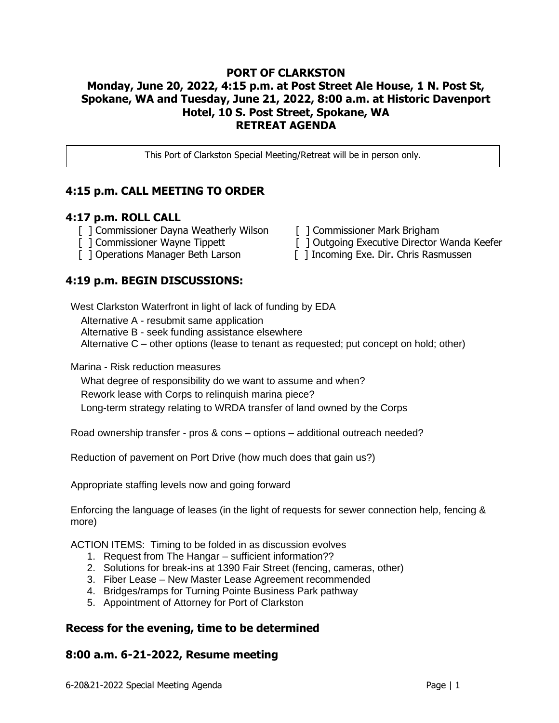#### **PORT OF CLARKSTON Monday, June 20, 2022, 4:15 p.m. at Post Street Ale House, 1 N. Post St, Spokane, WA and Tuesday, June 21, 2022, 8:00 a.m. at Historic Davenport Hotel, 10 S. Post Street, Spokane, WA RETREAT AGENDA**

This Port of Clarkston Special Meeting/Retreat will be in person only.

### **4:15 p.m. CALL MEETING TO ORDER**

#### **4:17 p.m. ROLL CALL**

- [ ] Commissioner Dayna Weatherly Wilson [ ] Commissioner Mark Brigham
- 
- 

### **4:19 p.m. BEGIN DISCUSSIONS:**

- 
- [ ] Commissioner Wayne Tippett [ ] Outgoing Executive Director Wanda Keefer
- [ ] Operations Manager Beth Larson [ ] Incoming Exe. Dir. Chris Rasmussen

West Clarkston Waterfront in light of lack of funding by EDA

Alternative A - resubmit same application

Alternative B - seek funding assistance elsewhere

Alternative C – other options (lease to tenant as requested; put concept on hold; other)

Marina - Risk reduction measures

What degree of responsibility do we want to assume and when? Rework lease with Corps to relinquish marina piece? Long-term strategy relating to WRDA transfer of land owned by the Corps

Road ownership transfer - pros & cons – options – additional outreach needed?

Reduction of pavement on Port Drive (how much does that gain us?)

Appropriate staffing levels now and going forward

Enforcing the language of leases (in the light of requests for sewer connection help, fencing & more)

ACTION ITEMS: Timing to be folded in as discussion evolves

- 1. Request from The Hangar sufficient information??
- 2. Solutions for break-ins at 1390 Fair Street (fencing, cameras, other)
- 3. Fiber Lease New Master Lease Agreement recommended
- 4. Bridges/ramps for Turning Pointe Business Park pathway
- 5. Appointment of Attorney for Port of Clarkston

## **Recess for the evening, time to be determined**

### **8:00 a.m. 6-21-2022, Resume meeting**